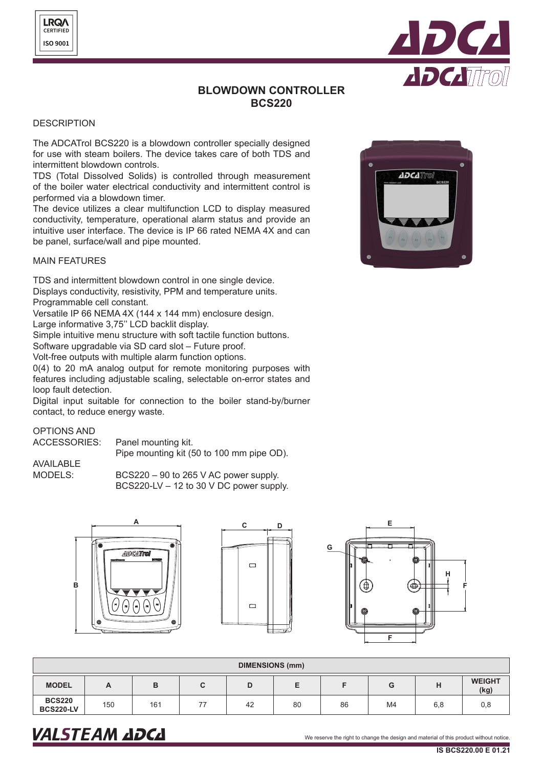

# **BLOWDOWN CONTROLLER BCS220**

## **DESCRIPTION**

The ADCATrol BCS220 is a blowdown controller specially designed for use with steam boilers. The device takes care of both TDS and intermittent blowdown controls.

TDS (Total Dissolved Solids) is controlled through measurement of the boiler water electrical conductivity and intermittent control is performed via a blowdown timer.

The device utilizes a clear multifunction LCD to display measured conductivity, temperature, operational alarm status and provide an intuitive user interface. The device is IP 66 rated NEMA 4X and can be panel, surface/wall and pipe mounted.

## MAIN FEATURES

TDS and intermittent blowdown control in one single device. Displays conductivity, resistivity, PPM and temperature units. Programmable cell constant.

Versatile IP 66 NEMA 4X (144 x 144 mm) enclosure design.

Large informative 3,75'' LCD backlit display.

Simple intuitive menu structure with soft tactile function buttons. Software upgradable via SD card slot – Future proof.

Volt-free outputs with multiple alarm function options.

0(4) to 20 mA analog output for remote monitoring purposes with features including adjustable scaling, selectable on-error states and loop fault detection.

Digital input suitable for connection to the boiler stand-by/burner contact, to reduce energy waste.

### OPTIONS AND **ACCESS**

| SORIES: | Panel mounting kit. |
|---------|---------------------|
|---------|---------------------|

Pipe mounting kit (50 to 100 mm pipe OD).

AVAILABLE MODELS:

BCS220 – 90 to 265 V AC power supply. BCS220-LV – 12 to 30 V DC power supply.







| <b>DIMENSIONS (mm)</b>                          |     |     |    |    |    |    |    |                       |     |
|-------------------------------------------------|-----|-----|----|----|----|----|----|-----------------------|-----|
| <b>MODEL</b><br>н<br>в<br>G<br>С<br>D<br>A<br>c |     |     |    |    |    |    |    | <b>WEIGHT</b><br>(kg) |     |
| <b>BCS220</b><br><b>BCS220-LV</b>               | 150 | 161 | 77 | 42 | 80 | 86 | M4 | 6,8                   | 0,8 |

# **ADCATTO**

# VALSTEAM ADCA We reserve the right to change the design and material of this product without notice